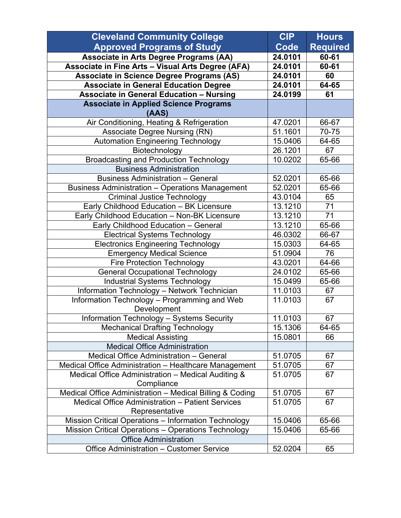| <b>Cleveland Community College</b>                         | <b>CIP</b> | <b>Hours</b>    |
|------------------------------------------------------------|------------|-----------------|
| <b>Approved Programs of Study</b>                          | Code       | <b>Required</b> |
| Associate in Arts Degree Programs (AA)                     | 24.0101    | 60-61           |
| Associate in Fine Arts - Visual Arts Degree (AFA)          | 24.0101    | 60-61           |
| <b>Associate in Science Degree Programs (AS)</b>           | 24.0101    | 60              |
| <b>Associate in General Education Degree</b>               | 24.0101    | 64-65           |
| <b>Associate in General Education - Nursing</b>            | 24.0199    | 61              |
| <b>Associate in Applied Science Programs</b>               |            |                 |
| (AAS)                                                      |            |                 |
| Air Conditioning, Heating & Refrigeration                  | 47.0201    | 66-67           |
| <b>Associate Degree Nursing (RN)</b>                       | 51.1601    | 70-75           |
| <b>Automation Engineering Technology</b>                   | 15.0406    | 64-65           |
| Biotechnology                                              | 26.1201    | 67              |
| <b>Broadcasting and Production Technology</b>              | 10.0202    | 65-66           |
| <b>Business Administration</b>                             |            |                 |
| <b>Business Administration - General</b>                   | 52.0201    | 65-66           |
| <b>Business Administration - Operations Management</b>     | 52.0201    | 65-66           |
| <b>Criminal Justice Technology</b>                         | 43.0104    | 65              |
| Early Childhood Education - BK Licensure                   | 13.1210    | 71              |
| Early Childhood Education - Non-BK Licensure               | 13.1210    | 71              |
| Early Childhood Education - General                        | 13.1210    | 65-66           |
| <b>Electrical Systems Technology</b>                       | 46.0302    | 66-67           |
| <b>Electronics Engineering Technology</b>                  | 15.0303    | 64-65           |
| <b>Emergency Medical Science</b>                           | 51.0904    | 76              |
| <b>Fire Protection Technology</b>                          | 43.0201    | 64-66           |
| <b>General Occupational Technology</b>                     | 24.0102    | 65-66           |
| <b>Industrial Systems Technology</b>                       | 15.0499    | 65-66           |
| <b>Information Technology - Network Technician</b>         | 11.0103    | 67              |
| Information Technology - Programming and Web               | 11.0103    | 67              |
| Development                                                |            |                 |
| <b>Information Technology - Systems Security</b>           | 11.0103    | 67              |
| <b>Mechanical Drafting Technology</b>                      | 15.1306    | 64-65           |
| <b>Medical Assisting</b>                                   | 15.0801    | 66              |
| <b>Medical Office Administration</b>                       |            |                 |
| Medical Office Administration - General                    | 51.0705    | 67              |
| Medical Office Administration - Healthcare Management      | 51.0705    | 67              |
| Medical Office Administration - Medical Auditing &         | 51.0705    | 67              |
| Compliance                                                 |            |                 |
| Medical Office Administration - Medical Billing & Coding   | 51.0705    | 67              |
| Medical Office Administration - Patient Services           | 51.0705    | 67              |
| Representative                                             |            |                 |
| Mission Critical Operations - Information Technology       | 15.0406    | 65-66           |
| <b>Mission Critical Operations - Operations Technology</b> | 15.0406    | 65-66           |
| <b>Office Administration</b>                               |            |                 |
| Office Administration - Customer Service                   | 52.0204    | 65              |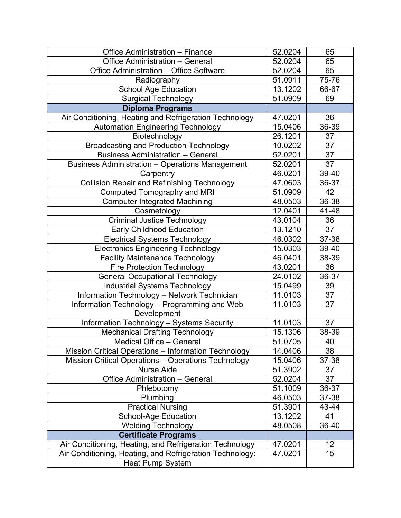| <b>Office Administration - Finance</b>                                              | 52.0204 | 65              |
|-------------------------------------------------------------------------------------|---------|-----------------|
| Office Administration - General                                                     | 52.0204 | 65              |
| Office Administration - Office Software                                             | 52.0204 | 65              |
| Radiography                                                                         | 51.0911 | 75-76           |
| <b>School Age Education</b>                                                         | 13.1202 | 66-67           |
| Surgical Technology                                                                 | 51.0909 | 69              |
| <b>Diploma Programs</b>                                                             |         |                 |
| Air Conditioning, Heating and Refrigeration Technology                              | 47.0201 | 36              |
| <b>Automation Engineering Technology</b>                                            | 15.0406 | 36-39           |
| Biotechnology                                                                       | 26.1201 | 37              |
| <b>Broadcasting and Production Technology</b>                                       | 10.0202 | 37              |
| <b>Business Administration - General</b>                                            | 52.0201 | 37              |
| <b>Business Administration - Operations Management</b>                              | 52.0201 | 37              |
| Carpentry                                                                           | 46.0201 | 39-40           |
| <b>Collision Repair and Refinishing Technology</b>                                  | 47.0603 | 36-37           |
| <b>Computed Tomography and MRI</b>                                                  | 51.0909 | 42              |
| <b>Computer Integrated Machining</b>                                                | 48.0503 | 36-38           |
| Cosmetology                                                                         | 12.0401 | 41-48           |
| <b>Criminal Justice Technology</b>                                                  | 43.0104 | 36              |
| <b>Early Childhood Education</b>                                                    | 13.1210 | 37              |
| <b>Electrical Systems Technology</b>                                                | 46.0302 | 37-38           |
| <b>Electronics Engineering Technology</b>                                           | 15.0303 | 39-40           |
| <b>Facility Maintenance Technology</b>                                              | 46.0401 | 38-39           |
| <b>Fire Protection Technology</b>                                                   | 43.0201 | 36              |
| <b>General Occupational Technology</b>                                              | 24.0102 | 36-37           |
| <b>Industrial Systems Technology</b>                                                | 15.0499 | 39              |
| Information Technology - Network Technician                                         | 11.0103 | 37              |
| Information Technology - Programming and Web<br>Development                         | 11.0103 | 37              |
| Information Technology - Systems Security                                           | 11.0103 | 37              |
| <b>Mechanical Drafting Technology</b>                                               | 15.1306 | 38-39           |
| Medical Office - General                                                            | 51.0705 | 40              |
| Mission Critical Operations - Information Technology                                | 14.0406 | 38              |
| <b>Mission Critical Operations - Operations Technology</b>                          | 15.0406 | 37-38           |
| <b>Nurse Aide</b>                                                                   | 51.3902 | 37              |
| Office Administration - General                                                     | 52.0204 | 37              |
| Phlebotomy                                                                          | 51.1009 | 36-37           |
| Plumbing                                                                            | 46.0503 | 37-38           |
| <b>Practical Nursing</b>                                                            | 51.3901 | 43-44           |
| <b>School-Age Education</b>                                                         | 13.1202 | 41              |
| <b>Welding Technology</b>                                                           | 48.0508 | 36-40           |
| <b>Certificate Programs</b>                                                         |         |                 |
| Air Conditioning, Heating, and Refrigeration Technology                             | 47.0201 | 12 <sub>2</sub> |
| Air Conditioning, Heating, and Refrigeration Technology:<br><b>Heat Pump System</b> | 47.0201 | 15              |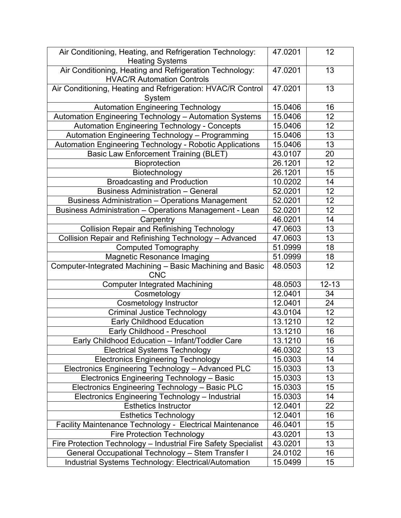| <b>Heating Systems</b><br>Air Conditioning, Heating and Refrigeration Technology:<br>13<br>47.0201<br><b>HVAC/R Automation Controls</b><br>Air Conditioning, Heating and Refrigeration: HVAC/R Control<br>13<br>47.0201<br>System<br><b>Automation Engineering Technology</b><br>15.0406<br>16<br>12<br>Automation Engineering Technology - Automation Systems<br>15.0406<br>12<br><b>Automation Engineering Technology - Concepts</b><br>15.0406<br>13<br>Automation Engineering Technology - Programming<br>15.0406<br>13<br>Automation Engineering Technology - Robotic Applications<br>15.0406<br><b>Basic Law Enforcement Training (BLET)</b><br>43.0107<br>20<br>12<br>Bioprotection<br>26.1201<br>26.1201<br>15<br>Biotechnology<br><b>Broadcasting and Production</b><br>10.0202<br>14<br><b>Business Administration - General</b><br>52.0201<br>12<br>12<br><b>Business Administration - Operations Management</b><br>52.0201<br>Business Administration - Operations Management - Lean<br>12<br>52.0201<br>46.0201<br>14<br>Carpentry<br><b>Collision Repair and Refinishing Technology</b><br>13<br>47.0603<br>Collision Repair and Refinishing Technology - Advanced<br>47.0603<br>13<br>51.0999<br>18<br><b>Computed Tomography</b><br><b>Magnetic Resonance Imaging</b><br>51.0999<br>18<br>Computer-Integrated Machining - Basic Machining and Basic<br>48.0503<br>12<br><b>CNC</b><br><b>Computer Integrated Machining</b><br>$12 - 13$<br>48.0503<br>12.0401<br>34<br>Cosmetology<br><b>Cosmetology Instructor</b><br>12.0401<br>24<br><b>Criminal Justice Technology</b><br>43.0104<br>12<br><b>Early Childhood Education</b><br>13.1210<br>12<br>16<br>Early Childhood - Preschool<br>13.1210<br>16<br>Early Childhood Education - Infant/Toddler Care<br>13.1210<br>13<br><b>Electrical Systems Technology</b><br>46.0302<br><b>Electronics Engineering Technology</b><br>15.0303<br>14<br>13<br>Electronics Engineering Technology - Advanced PLC<br>15.0303<br>Electronics Engineering Technology - Basic<br>13<br>15.0303<br>15<br>Electronics Engineering Technology - Basic PLC<br>15.0303<br>Electronics Engineering Technology - Industrial<br>15.0303<br>14<br><b>Esthetics Instructor</b><br>22<br>12.0401<br>12.0401<br>16<br><b>Esthetics Technology</b><br>Facility Maintenance Technology - Electrical Maintenance<br>15<br>46.0401 | Air Conditioning, Heating, and Refrigeration Technology: | 47.0201 | 12 |
|----------------------------------------------------------------------------------------------------------------------------------------------------------------------------------------------------------------------------------------------------------------------------------------------------------------------------------------------------------------------------------------------------------------------------------------------------------------------------------------------------------------------------------------------------------------------------------------------------------------------------------------------------------------------------------------------------------------------------------------------------------------------------------------------------------------------------------------------------------------------------------------------------------------------------------------------------------------------------------------------------------------------------------------------------------------------------------------------------------------------------------------------------------------------------------------------------------------------------------------------------------------------------------------------------------------------------------------------------------------------------------------------------------------------------------------------------------------------------------------------------------------------------------------------------------------------------------------------------------------------------------------------------------------------------------------------------------------------------------------------------------------------------------------------------------------------------------------------------------------------------------------------------------------------------------------------------------------------------------------------------------------------------------------------------------------------------------------------------------------------------------------------------------------------------------------------------------------------------------------------------------------------------------------------------------------------------------------------------------------------|----------------------------------------------------------|---------|----|
|                                                                                                                                                                                                                                                                                                                                                                                                                                                                                                                                                                                                                                                                                                                                                                                                                                                                                                                                                                                                                                                                                                                                                                                                                                                                                                                                                                                                                                                                                                                                                                                                                                                                                                                                                                                                                                                                                                                                                                                                                                                                                                                                                                                                                                                                                                                                                                      |                                                          |         |    |
|                                                                                                                                                                                                                                                                                                                                                                                                                                                                                                                                                                                                                                                                                                                                                                                                                                                                                                                                                                                                                                                                                                                                                                                                                                                                                                                                                                                                                                                                                                                                                                                                                                                                                                                                                                                                                                                                                                                                                                                                                                                                                                                                                                                                                                                                                                                                                                      |                                                          |         |    |
|                                                                                                                                                                                                                                                                                                                                                                                                                                                                                                                                                                                                                                                                                                                                                                                                                                                                                                                                                                                                                                                                                                                                                                                                                                                                                                                                                                                                                                                                                                                                                                                                                                                                                                                                                                                                                                                                                                                                                                                                                                                                                                                                                                                                                                                                                                                                                                      |                                                          |         |    |
|                                                                                                                                                                                                                                                                                                                                                                                                                                                                                                                                                                                                                                                                                                                                                                                                                                                                                                                                                                                                                                                                                                                                                                                                                                                                                                                                                                                                                                                                                                                                                                                                                                                                                                                                                                                                                                                                                                                                                                                                                                                                                                                                                                                                                                                                                                                                                                      |                                                          |         |    |
|                                                                                                                                                                                                                                                                                                                                                                                                                                                                                                                                                                                                                                                                                                                                                                                                                                                                                                                                                                                                                                                                                                                                                                                                                                                                                                                                                                                                                                                                                                                                                                                                                                                                                                                                                                                                                                                                                                                                                                                                                                                                                                                                                                                                                                                                                                                                                                      |                                                          |         |    |
|                                                                                                                                                                                                                                                                                                                                                                                                                                                                                                                                                                                                                                                                                                                                                                                                                                                                                                                                                                                                                                                                                                                                                                                                                                                                                                                                                                                                                                                                                                                                                                                                                                                                                                                                                                                                                                                                                                                                                                                                                                                                                                                                                                                                                                                                                                                                                                      |                                                          |         |    |
|                                                                                                                                                                                                                                                                                                                                                                                                                                                                                                                                                                                                                                                                                                                                                                                                                                                                                                                                                                                                                                                                                                                                                                                                                                                                                                                                                                                                                                                                                                                                                                                                                                                                                                                                                                                                                                                                                                                                                                                                                                                                                                                                                                                                                                                                                                                                                                      |                                                          |         |    |
|                                                                                                                                                                                                                                                                                                                                                                                                                                                                                                                                                                                                                                                                                                                                                                                                                                                                                                                                                                                                                                                                                                                                                                                                                                                                                                                                                                                                                                                                                                                                                                                                                                                                                                                                                                                                                                                                                                                                                                                                                                                                                                                                                                                                                                                                                                                                                                      |                                                          |         |    |
|                                                                                                                                                                                                                                                                                                                                                                                                                                                                                                                                                                                                                                                                                                                                                                                                                                                                                                                                                                                                                                                                                                                                                                                                                                                                                                                                                                                                                                                                                                                                                                                                                                                                                                                                                                                                                                                                                                                                                                                                                                                                                                                                                                                                                                                                                                                                                                      |                                                          |         |    |
|                                                                                                                                                                                                                                                                                                                                                                                                                                                                                                                                                                                                                                                                                                                                                                                                                                                                                                                                                                                                                                                                                                                                                                                                                                                                                                                                                                                                                                                                                                                                                                                                                                                                                                                                                                                                                                                                                                                                                                                                                                                                                                                                                                                                                                                                                                                                                                      |                                                          |         |    |
|                                                                                                                                                                                                                                                                                                                                                                                                                                                                                                                                                                                                                                                                                                                                                                                                                                                                                                                                                                                                                                                                                                                                                                                                                                                                                                                                                                                                                                                                                                                                                                                                                                                                                                                                                                                                                                                                                                                                                                                                                                                                                                                                                                                                                                                                                                                                                                      |                                                          |         |    |
|                                                                                                                                                                                                                                                                                                                                                                                                                                                                                                                                                                                                                                                                                                                                                                                                                                                                                                                                                                                                                                                                                                                                                                                                                                                                                                                                                                                                                                                                                                                                                                                                                                                                                                                                                                                                                                                                                                                                                                                                                                                                                                                                                                                                                                                                                                                                                                      |                                                          |         |    |
|                                                                                                                                                                                                                                                                                                                                                                                                                                                                                                                                                                                                                                                                                                                                                                                                                                                                                                                                                                                                                                                                                                                                                                                                                                                                                                                                                                                                                                                                                                                                                                                                                                                                                                                                                                                                                                                                                                                                                                                                                                                                                                                                                                                                                                                                                                                                                                      |                                                          |         |    |
|                                                                                                                                                                                                                                                                                                                                                                                                                                                                                                                                                                                                                                                                                                                                                                                                                                                                                                                                                                                                                                                                                                                                                                                                                                                                                                                                                                                                                                                                                                                                                                                                                                                                                                                                                                                                                                                                                                                                                                                                                                                                                                                                                                                                                                                                                                                                                                      |                                                          |         |    |
|                                                                                                                                                                                                                                                                                                                                                                                                                                                                                                                                                                                                                                                                                                                                                                                                                                                                                                                                                                                                                                                                                                                                                                                                                                                                                                                                                                                                                                                                                                                                                                                                                                                                                                                                                                                                                                                                                                                                                                                                                                                                                                                                                                                                                                                                                                                                                                      |                                                          |         |    |
|                                                                                                                                                                                                                                                                                                                                                                                                                                                                                                                                                                                                                                                                                                                                                                                                                                                                                                                                                                                                                                                                                                                                                                                                                                                                                                                                                                                                                                                                                                                                                                                                                                                                                                                                                                                                                                                                                                                                                                                                                                                                                                                                                                                                                                                                                                                                                                      |                                                          |         |    |
|                                                                                                                                                                                                                                                                                                                                                                                                                                                                                                                                                                                                                                                                                                                                                                                                                                                                                                                                                                                                                                                                                                                                                                                                                                                                                                                                                                                                                                                                                                                                                                                                                                                                                                                                                                                                                                                                                                                                                                                                                                                                                                                                                                                                                                                                                                                                                                      |                                                          |         |    |
|                                                                                                                                                                                                                                                                                                                                                                                                                                                                                                                                                                                                                                                                                                                                                                                                                                                                                                                                                                                                                                                                                                                                                                                                                                                                                                                                                                                                                                                                                                                                                                                                                                                                                                                                                                                                                                                                                                                                                                                                                                                                                                                                                                                                                                                                                                                                                                      |                                                          |         |    |
|                                                                                                                                                                                                                                                                                                                                                                                                                                                                                                                                                                                                                                                                                                                                                                                                                                                                                                                                                                                                                                                                                                                                                                                                                                                                                                                                                                                                                                                                                                                                                                                                                                                                                                                                                                                                                                                                                                                                                                                                                                                                                                                                                                                                                                                                                                                                                                      |                                                          |         |    |
|                                                                                                                                                                                                                                                                                                                                                                                                                                                                                                                                                                                                                                                                                                                                                                                                                                                                                                                                                                                                                                                                                                                                                                                                                                                                                                                                                                                                                                                                                                                                                                                                                                                                                                                                                                                                                                                                                                                                                                                                                                                                                                                                                                                                                                                                                                                                                                      |                                                          |         |    |
|                                                                                                                                                                                                                                                                                                                                                                                                                                                                                                                                                                                                                                                                                                                                                                                                                                                                                                                                                                                                                                                                                                                                                                                                                                                                                                                                                                                                                                                                                                                                                                                                                                                                                                                                                                                                                                                                                                                                                                                                                                                                                                                                                                                                                                                                                                                                                                      |                                                          |         |    |
|                                                                                                                                                                                                                                                                                                                                                                                                                                                                                                                                                                                                                                                                                                                                                                                                                                                                                                                                                                                                                                                                                                                                                                                                                                                                                                                                                                                                                                                                                                                                                                                                                                                                                                                                                                                                                                                                                                                                                                                                                                                                                                                                                                                                                                                                                                                                                                      |                                                          |         |    |
|                                                                                                                                                                                                                                                                                                                                                                                                                                                                                                                                                                                                                                                                                                                                                                                                                                                                                                                                                                                                                                                                                                                                                                                                                                                                                                                                                                                                                                                                                                                                                                                                                                                                                                                                                                                                                                                                                                                                                                                                                                                                                                                                                                                                                                                                                                                                                                      |                                                          |         |    |
|                                                                                                                                                                                                                                                                                                                                                                                                                                                                                                                                                                                                                                                                                                                                                                                                                                                                                                                                                                                                                                                                                                                                                                                                                                                                                                                                                                                                                                                                                                                                                                                                                                                                                                                                                                                                                                                                                                                                                                                                                                                                                                                                                                                                                                                                                                                                                                      |                                                          |         |    |
|                                                                                                                                                                                                                                                                                                                                                                                                                                                                                                                                                                                                                                                                                                                                                                                                                                                                                                                                                                                                                                                                                                                                                                                                                                                                                                                                                                                                                                                                                                                                                                                                                                                                                                                                                                                                                                                                                                                                                                                                                                                                                                                                                                                                                                                                                                                                                                      |                                                          |         |    |
|                                                                                                                                                                                                                                                                                                                                                                                                                                                                                                                                                                                                                                                                                                                                                                                                                                                                                                                                                                                                                                                                                                                                                                                                                                                                                                                                                                                                                                                                                                                                                                                                                                                                                                                                                                                                                                                                                                                                                                                                                                                                                                                                                                                                                                                                                                                                                                      |                                                          |         |    |
|                                                                                                                                                                                                                                                                                                                                                                                                                                                                                                                                                                                                                                                                                                                                                                                                                                                                                                                                                                                                                                                                                                                                                                                                                                                                                                                                                                                                                                                                                                                                                                                                                                                                                                                                                                                                                                                                                                                                                                                                                                                                                                                                                                                                                                                                                                                                                                      |                                                          |         |    |
|                                                                                                                                                                                                                                                                                                                                                                                                                                                                                                                                                                                                                                                                                                                                                                                                                                                                                                                                                                                                                                                                                                                                                                                                                                                                                                                                                                                                                                                                                                                                                                                                                                                                                                                                                                                                                                                                                                                                                                                                                                                                                                                                                                                                                                                                                                                                                                      |                                                          |         |    |
|                                                                                                                                                                                                                                                                                                                                                                                                                                                                                                                                                                                                                                                                                                                                                                                                                                                                                                                                                                                                                                                                                                                                                                                                                                                                                                                                                                                                                                                                                                                                                                                                                                                                                                                                                                                                                                                                                                                                                                                                                                                                                                                                                                                                                                                                                                                                                                      |                                                          |         |    |
|                                                                                                                                                                                                                                                                                                                                                                                                                                                                                                                                                                                                                                                                                                                                                                                                                                                                                                                                                                                                                                                                                                                                                                                                                                                                                                                                                                                                                                                                                                                                                                                                                                                                                                                                                                                                                                                                                                                                                                                                                                                                                                                                                                                                                                                                                                                                                                      |                                                          |         |    |
|                                                                                                                                                                                                                                                                                                                                                                                                                                                                                                                                                                                                                                                                                                                                                                                                                                                                                                                                                                                                                                                                                                                                                                                                                                                                                                                                                                                                                                                                                                                                                                                                                                                                                                                                                                                                                                                                                                                                                                                                                                                                                                                                                                                                                                                                                                                                                                      |                                                          |         |    |
|                                                                                                                                                                                                                                                                                                                                                                                                                                                                                                                                                                                                                                                                                                                                                                                                                                                                                                                                                                                                                                                                                                                                                                                                                                                                                                                                                                                                                                                                                                                                                                                                                                                                                                                                                                                                                                                                                                                                                                                                                                                                                                                                                                                                                                                                                                                                                                      |                                                          |         |    |
|                                                                                                                                                                                                                                                                                                                                                                                                                                                                                                                                                                                                                                                                                                                                                                                                                                                                                                                                                                                                                                                                                                                                                                                                                                                                                                                                                                                                                                                                                                                                                                                                                                                                                                                                                                                                                                                                                                                                                                                                                                                                                                                                                                                                                                                                                                                                                                      |                                                          |         |    |
|                                                                                                                                                                                                                                                                                                                                                                                                                                                                                                                                                                                                                                                                                                                                                                                                                                                                                                                                                                                                                                                                                                                                                                                                                                                                                                                                                                                                                                                                                                                                                                                                                                                                                                                                                                                                                                                                                                                                                                                                                                                                                                                                                                                                                                                                                                                                                                      |                                                          |         |    |
|                                                                                                                                                                                                                                                                                                                                                                                                                                                                                                                                                                                                                                                                                                                                                                                                                                                                                                                                                                                                                                                                                                                                                                                                                                                                                                                                                                                                                                                                                                                                                                                                                                                                                                                                                                                                                                                                                                                                                                                                                                                                                                                                                                                                                                                                                                                                                                      |                                                          |         |    |
|                                                                                                                                                                                                                                                                                                                                                                                                                                                                                                                                                                                                                                                                                                                                                                                                                                                                                                                                                                                                                                                                                                                                                                                                                                                                                                                                                                                                                                                                                                                                                                                                                                                                                                                                                                                                                                                                                                                                                                                                                                                                                                                                                                                                                                                                                                                                                                      |                                                          |         |    |
|                                                                                                                                                                                                                                                                                                                                                                                                                                                                                                                                                                                                                                                                                                                                                                                                                                                                                                                                                                                                                                                                                                                                                                                                                                                                                                                                                                                                                                                                                                                                                                                                                                                                                                                                                                                                                                                                                                                                                                                                                                                                                                                                                                                                                                                                                                                                                                      |                                                          |         |    |
|                                                                                                                                                                                                                                                                                                                                                                                                                                                                                                                                                                                                                                                                                                                                                                                                                                                                                                                                                                                                                                                                                                                                                                                                                                                                                                                                                                                                                                                                                                                                                                                                                                                                                                                                                                                                                                                                                                                                                                                                                                                                                                                                                                                                                                                                                                                                                                      |                                                          |         |    |
|                                                                                                                                                                                                                                                                                                                                                                                                                                                                                                                                                                                                                                                                                                                                                                                                                                                                                                                                                                                                                                                                                                                                                                                                                                                                                                                                                                                                                                                                                                                                                                                                                                                                                                                                                                                                                                                                                                                                                                                                                                                                                                                                                                                                                                                                                                                                                                      |                                                          |         |    |
|                                                                                                                                                                                                                                                                                                                                                                                                                                                                                                                                                                                                                                                                                                                                                                                                                                                                                                                                                                                                                                                                                                                                                                                                                                                                                                                                                                                                                                                                                                                                                                                                                                                                                                                                                                                                                                                                                                                                                                                                                                                                                                                                                                                                                                                                                                                                                                      |                                                          |         |    |
|                                                                                                                                                                                                                                                                                                                                                                                                                                                                                                                                                                                                                                                                                                                                                                                                                                                                                                                                                                                                                                                                                                                                                                                                                                                                                                                                                                                                                                                                                                                                                                                                                                                                                                                                                                                                                                                                                                                                                                                                                                                                                                                                                                                                                                                                                                                                                                      | <b>Fire Protection Technology</b>                        | 43.0201 | 13 |
| Fire Protection Technology - Industrial Fire Safety Specialist<br>13<br>43.0201                                                                                                                                                                                                                                                                                                                                                                                                                                                                                                                                                                                                                                                                                                                                                                                                                                                                                                                                                                                                                                                                                                                                                                                                                                                                                                                                                                                                                                                                                                                                                                                                                                                                                                                                                                                                                                                                                                                                                                                                                                                                                                                                                                                                                                                                                      |                                                          |         |    |
| General Occupational Technology - Stem Transfer I<br>24.0102<br>16                                                                                                                                                                                                                                                                                                                                                                                                                                                                                                                                                                                                                                                                                                                                                                                                                                                                                                                                                                                                                                                                                                                                                                                                                                                                                                                                                                                                                                                                                                                                                                                                                                                                                                                                                                                                                                                                                                                                                                                                                                                                                                                                                                                                                                                                                                   |                                                          |         |    |
| Industrial Systems Technology: Electrical/Automation<br>15.0499<br>15                                                                                                                                                                                                                                                                                                                                                                                                                                                                                                                                                                                                                                                                                                                                                                                                                                                                                                                                                                                                                                                                                                                                                                                                                                                                                                                                                                                                                                                                                                                                                                                                                                                                                                                                                                                                                                                                                                                                                                                                                                                                                                                                                                                                                                                                                                |                                                          |         |    |